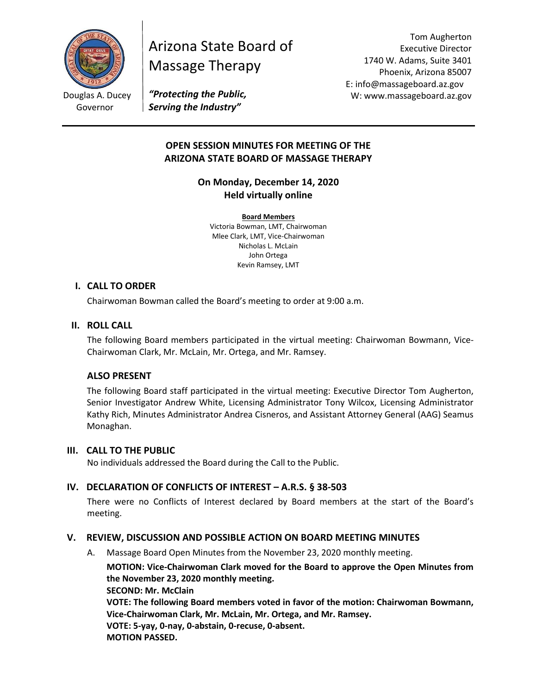

Douglas A. Ducey Governor

# Arizona State Board of Massage Therapy

Tom Augherton Executive Director 1740 W. Adams, Suite 3401 Phoenix, Arizona 85007 E: info@massageboard.az.gov W: www.massageboard.az.gov

*"Protecting the Public, Serving the Industry"*

# **OPEN SESSION MINUTES FOR MEETING OF THE ARIZONA STATE BOARD OF MASSAGE THERAPY**

**On Monday, December 14, 2020 Held virtually online** 

**Board Members** Victoria Bowman, LMT, Chairwoman Mlee Clark, LMT, Vice-Chairwoman Nicholas L. McLain John Ortega Kevin Ramsey, LMT

## **I. CALL TO ORDER**

Chairwoman Bowman called the Board's meeting to order at 9:00 a.m.

## **II. ROLL CALL**

The following Board members participated in the virtual meeting: Chairwoman Bowmann, Vice-Chairwoman Clark, Mr. McLain, Mr. Ortega, and Mr. Ramsey.

### **ALSO PRESENT**

The following Board staff participated in the virtual meeting: Executive Director Tom Augherton, Senior Investigator Andrew White, Licensing Administrator Tony Wilcox, Licensing Administrator Kathy Rich, Minutes Administrator Andrea Cisneros, and Assistant Attorney General (AAG) Seamus Monaghan.

### **III. CALL TO THE PUBLIC**

No individuals addressed the Board during the Call to the Public.

# **IV. DECLARATION OF CONFLICTS OF INTEREST – A.R.S. § 38-503**

There were no Conflicts of Interest declared by Board members at the start of the Board's meeting.

# **V. REVIEW, DISCUSSION AND POSSIBLE ACTION ON BOARD MEETING MINUTES**

A. Massage Board Open Minutes from the November 23, 2020 monthly meeting.

**MOTION: Vice-Chairwoman Clark moved for the Board to approve the Open Minutes from the November 23, 2020 monthly meeting. SECOND: Mr. McClain VOTE: The following Board members voted in favor of the motion: Chairwoman Bowmann, Vice-Chairwoman Clark, Mr. McLain, Mr. Ortega, and Mr. Ramsey. VOTE: 5-yay, 0-nay, 0-abstain, 0-recuse, 0-absent. MOTION PASSED.**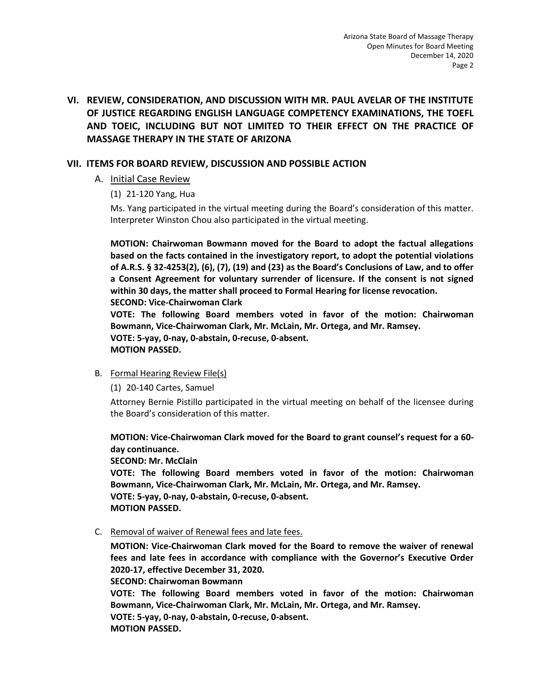# **VI. REVIEW, CONSIDERATION, AND DISCUSSION WITH MR. PAUL AVELAR OF THE INSTITUTE OF JUSTICE REGARDING ENGLISH LANGUAGE COMPETENCY EXAMINATIONS, THE TOEFL AND TOEIC, INCLUDING BUT NOT LIMITED TO THEIR EFFECT ON THE PRACTICE OF MASSAGE THERAPY IN THE STATE OF ARIZONA**

# **VII. ITEMS FOR BOARD REVIEW, DISCUSSION AND POSSIBLE ACTION**

## A. Initial Case Review

(1) 21-120 Yang, Hua

Ms. Yang participated in the virtual meeting during the Board's consideration of this matter. Interpreter Winston Chou also participated in the virtual meeting.

**MOTION: Chairwoman Bowmann moved for the Board to adopt the factual allegations based on the facts contained in the investigatory report, to adopt the potential violations of A.R.S. § 32-4253(2), (6), (7), (19) and (23) as the Board's Conclusions of Law, and to offer a Consent Agreement for voluntary surrender of licensure. If the consent is not signed within 30 days, the matter shall proceed to Formal Hearing for license revocation. SECOND: Vice-Chairwoman Clark** 

**VOTE: The following Board members voted in favor of the motion: Chairwoman Bowmann, Vice-Chairwoman Clark, Mr. McLain, Mr. Ortega, and Mr. Ramsey. VOTE: 5-yay, 0-nay, 0-abstain, 0-recuse, 0-absent. MOTION PASSED.** 

B. Formal Hearing Review File(s)

(1) 20-140 Cartes, Samuel

Attorney Bernie Pistillo participated in the virtual meeting on behalf of the licensee during the Board's consideration of this matter.

**MOTION: Vice-Chairwoman Clark moved for the Board to grant counsel's request for a 60 day continuance.** 

**SECOND: Mr. McClain** 

**VOTE: The following Board members voted in favor of the motion: Chairwoman Bowmann, Vice-Chairwoman Clark, Mr. McLain, Mr. Ortega, and Mr. Ramsey. VOTE: 5-yay, 0-nay, 0-abstain, 0-recuse, 0-absent. MOTION PASSED.** 

C. Removal of waiver of Renewal fees and late fees.

**MOTION: Vice-Chairwoman Clark moved for the Board to remove the waiver of renewal fees and late fees in accordance with compliance with the Governor's Executive Order 2020-17, effective December 31, 2020.** 

**SECOND: Chairwoman Bowmann** 

**VOTE: The following Board members voted in favor of the motion: Chairwoman Bowmann, Vice-Chairwoman Clark, Mr. McLain, Mr. Ortega, and Mr. Ramsey. VOTE: 5-yay, 0-nay, 0-abstain, 0-recuse, 0-absent. MOTION PASSED.**